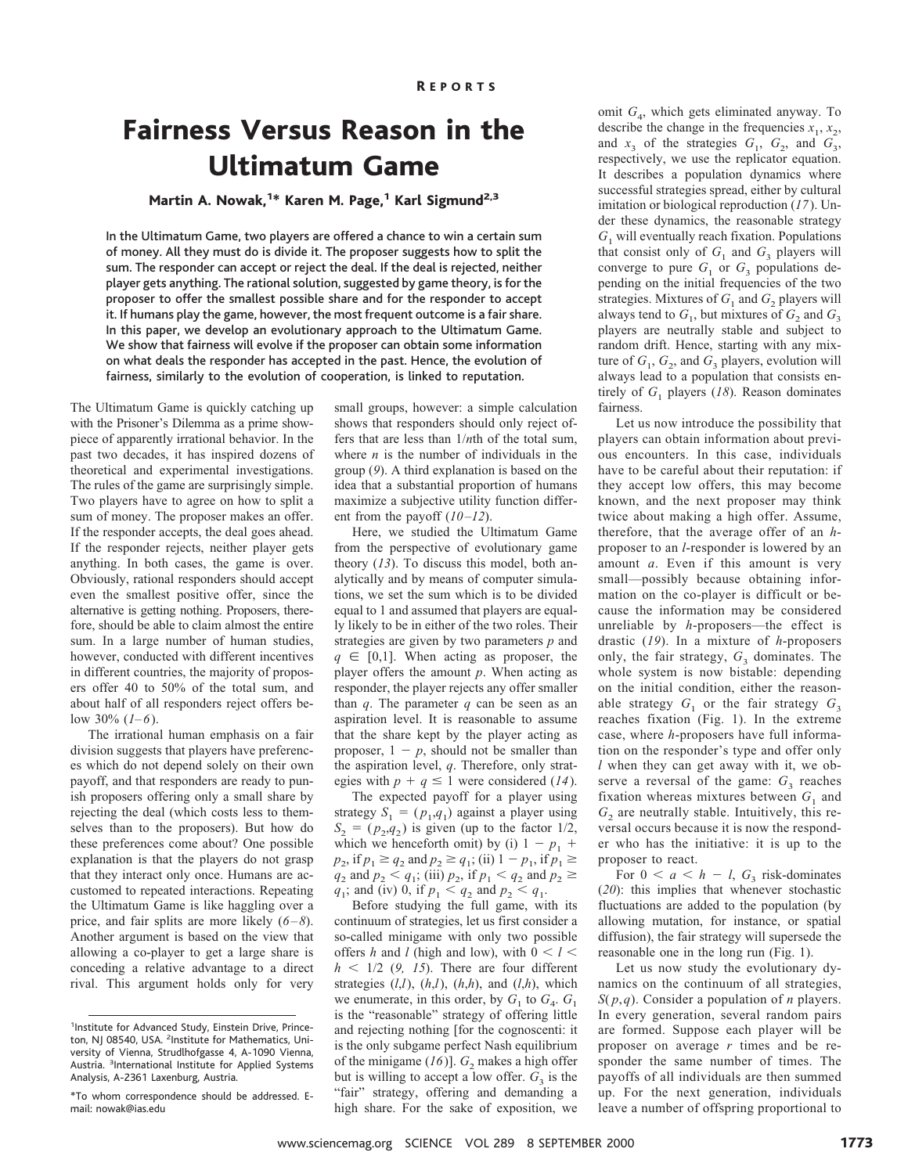## Fairness Versus Reason in the Ultimatum Game

### Martin A. Nowak,<sup>1\*</sup> Karen M. Page,<sup>1</sup> Karl Sigmund<sup>2,3</sup>

In the Ultimatum Game, two players are offered a chance to win a certain sum of money. All they must do is divide it. The proposer suggests how to split the sum. The responder can accept or reject the deal. If the deal is rejected, neither player gets anything. The rational solution, suggested by game theory, is for the proposer to offer the smallest possible share and for the responder to accept it. If humans play the game, however, the most frequent outcome is a fair share. In this paper, we develop an evolutionary approach to the Ultimatum Game. We show that fairness will evolve if the proposer can obtain some information on what deals the responder has accepted in the past. Hence, the evolution of fairness, similarly to the evolution of cooperation, is linked to reputation.

The Ultimatum Game is quickly catching up with the Prisoner's Dilemma as a prime showpiece of apparently irrational behavior. In the past two decades, it has inspired dozens of theoretical and experimental investigations. The rules of the game are surprisingly simple. Two players have to agree on how to split a sum of money. The proposer makes an offer. If the responder accepts, the deal goes ahead. If the responder rejects, neither player gets anything. In both cases, the game is over. Obviously, rational responders should accept even the smallest positive offer, since the alternative is getting nothing. Proposers, therefore, should be able to claim almost the entire sum. In a large number of human studies, however, conducted with different incentives in different countries, the majority of proposers offer 40 to 50% of the total sum, and about half of all responders reject offers below 30% (*1–6*).

The irrational human emphasis on a fair division suggests that players have preferences which do not depend solely on their own payoff, and that responders are ready to punish proposers offering only a small share by rejecting the deal (which costs less to themselves than to the proposers). But how do these preferences come about? One possible explanation is that the players do not grasp that they interact only once. Humans are accustomed to repeated interactions. Repeating the Ultimatum Game is like haggling over a price, and fair splits are more likely (*6–8*). Another argument is based on the view that allowing a co-player to get a large share is conceding a relative advantage to a direct rival. This argument holds only for very small groups, however: a simple calculation shows that responders should only reject offers that are less than 1/*n*th of the total sum, where *n* is the number of individuals in the group (*9*). A third explanation is based on the idea that a substantial proportion of humans maximize a subjective utility function different from the payoff (*10–12*).

Here, we studied the Ultimatum Game from the perspective of evolutionary game theory (*13*). To discuss this model, both analytically and by means of computer simulations, we set the sum which is to be divided equal to 1 and assumed that players are equally likely to be in either of the two roles. Their strategies are given by two parameters *p* and  $q \in [0,1]$ . When acting as proposer, the player offers the amount *p*. When acting as responder, the player rejects any offer smaller than *q*. The parameter *q* can be seen as an aspiration level. It is reasonable to assume that the share kept by the player acting as proposer,  $1 - p$ , should not be smaller than the aspiration level, *q*. Therefore, only strategies with  $p + q \le 1$  were considered (14).

The expected payoff for a player using strategy  $S_1 = (p_1, q_1)$  against a player using  $S_2 = (p_2,q_2)$  is given (up to the factor 1/2, which we henceforth omit) by (i)  $1 - p_1$  +  $p_2$ , if  $p_1 \ge q_2$  and  $p_2 \ge q_1$ ; (ii)  $1 - p_1$ , if  $p_1 \ge$ *q*<sub>2</sub> and  $p_2 < q_1$ ; (iii)  $p_2$ , if  $p_1 < q_2$  and  $p_2 \ge$ *q*<sub>1</sub>; and (iv) 0, if  $p_1 < q_2$  and  $p_2 < q_1$ .

Before studying the full game, with its continuum of strategies, let us first consider a so-called minigame with only two possible offers *h* and *l* (high and low), with  $0 < l <$  $h < 1/2$  (9, 15). There are four different strategies (*l*,*l*), (*h*,*l*), (*h*,*h*), and (*l*,*h*), which we enumerate, in this order, by  $G_1$  to  $G_4$ .  $G_1$ is the "reasonable" strategy of offering little and rejecting nothing [for the cognoscenti: it is the only subgame perfect Nash equilibrium of the minigame  $(16)$ ].  $G_2$  makes a high offer but is willing to accept a low offer.  $G<sub>3</sub>$  is the "fair" strategy, offering and demanding a high share. For the sake of exposition, we

omit *G*4, which gets eliminated anyway. To describe the change in the frequencies  $x_1, x_2,$ and  $x_3$  of the strategies  $G_1$ ,  $G_2$ , and  $G_3$ , respectively, we use the replicator equation. It describes a population dynamics where successful strategies spread, either by cultural imitation or biological reproduction (*17*). Under these dynamics, the reasonable strategy  $G_1$  will eventually reach fixation. Populations that consist only of  $G_1$  and  $G_3$  players will converge to pure  $G_1$  or  $G_3$  populations depending on the initial frequencies of the two strategies. Mixtures of  $G_1$  and  $G_2$  players will always tend to  $G_1$ , but mixtures of  $G_2$  and  $G_3$ players are neutrally stable and subject to random drift. Hence, starting with any mixture of  $G_1$ ,  $G_2$ , and  $G_3$  players, evolution will always lead to a population that consists entirely of  $G_1$  players (18). Reason dominates fairness.

Let us now introduce the possibility that players can obtain information about previous encounters. In this case, individuals have to be careful about their reputation: if they accept low offers, this may become known, and the next proposer may think twice about making a high offer. Assume, therefore, that the average offer of an *h*proposer to an *l*-responder is lowered by an amount *a*. Even if this amount is very small—possibly because obtaining information on the co-player is difficult or because the information may be considered unreliable by *h*-proposers—the effect is drastic (*19*). In a mixture of *h*-proposers only, the fair strategy,  $G_3$  dominates. The whole system is now bistable: depending on the initial condition, either the reasonable strategy  $G_1$  or the fair strategy  $G_3$ reaches fixation (Fig. 1). In the extreme case, where *h*-proposers have full information on the responder's type and offer only *l* when they can get away with it, we observe a reversal of the game:  $G<sub>3</sub>$  reaches fixation whereas mixtures between  $G_1$  and  $G<sub>2</sub>$  are neutrally stable. Intuitively, this reversal occurs because it is now the responder who has the initiative: it is up to the proposer to react.

For  $0 \le a \le h - l$ ,  $G_3$  risk-dominates (*20*): this implies that whenever stochastic fluctuations are added to the population (by allowing mutation, for instance, or spatial diffusion), the fair strategy will supersede the reasonable one in the long run (Fig. 1).

Let us now study the evolutionary dynamics on the continuum of all strategies, *S*( *p*,*q*). Consider a population of *n* players. In every generation, several random pairs are formed. Suppose each player will be proposer on average *r* times and be responder the same number of times. The payoffs of all individuals are then summed up. For the next generation, individuals leave a number of offspring proportional to

<sup>&</sup>lt;sup>1</sup>Institute for Advanced Study, Einstein Drive, Princeton, NJ 08540, USA. <sup>2</sup>Institute for Mathematics, University of Vienna, Strudlhofgasse 4, A-1090 Vienna, Austria. <sup>3</sup>International Institute for Applied Systems Analysis, A-2361 Laxenburg, Austria.

<sup>\*</sup>To whom correspondence should be addressed. Email: nowak@ias.edu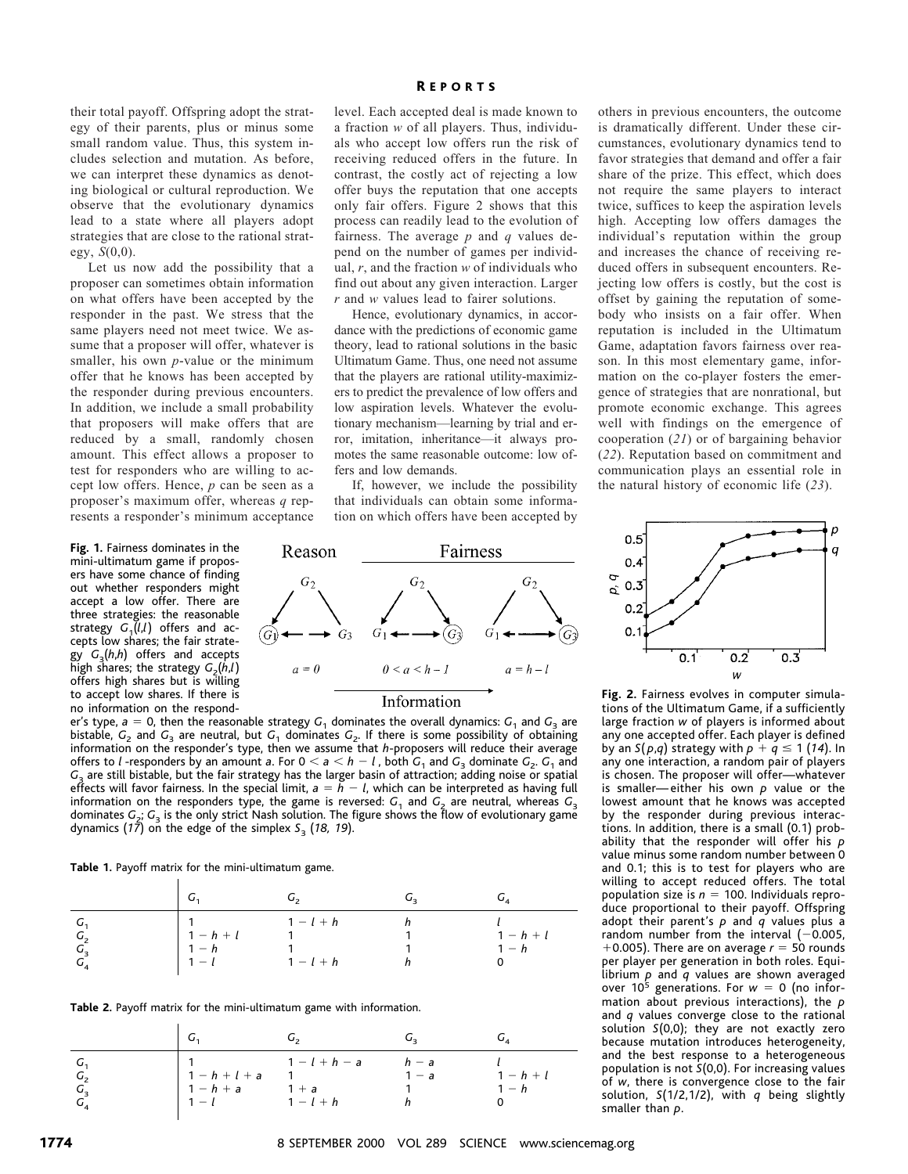their total payoff. Offspring adopt the strategy of their parents, plus or minus some small random value. Thus, this system includes selection and mutation. As before, we can interpret these dynamics as denoting biological or cultural reproduction. We observe that the evolutionary dynamics lead to a state where all players adopt strategies that are close to the rational strategy, *S*(0,0).

Let us now add the possibility that a proposer can sometimes obtain information on what offers have been accepted by the responder in the past. We stress that the same players need not meet twice. We assume that a proposer will offer, whatever is smaller, his own *p*-value or the minimum offer that he knows has been accepted by the responder during previous encounters. In addition, we include a small probability that proposers will make offers that are reduced by a small, randomly chosen amount. This effect allows a proposer to test for responders who are willing to accept low offers. Hence, *p* can be seen as a proposer's maximum offer, whereas *q* represents a responder's minimum acceptance

**Fig. 1.** Fairness dominates in the mini-ultimatum game if proposers have some chance of finding out whether responders might accept a low offer. There are three strategies: the reasonable strategy  $G_1(l,l)$  offers and accepts low shares; the fair strategy *G*3(*h*,*h*) offers and accepts high shares; the strategy  $G_2(h,l)$ offers high shares but is willing to accept low shares. If there is no information on the respond-

#### R EPORTS

level. Each accepted deal is made known to a fraction *w* of all players. Thus, individuals who accept low offers run the risk of receiving reduced offers in the future. In contrast, the costly act of rejecting a low offer buys the reputation that one accepts only fair offers. Figure 2 shows that this process can readily lead to the evolution of fairness. The average *p* and *q* values depend on the number of games per individual, *r*, and the fraction *w* of individuals who find out about any given interaction. Larger *r* and *w* values lead to fairer solutions.

Hence, evolutionary dynamics, in accordance with the predictions of economic game theory, lead to rational solutions in the basic Ultimatum Game. Thus, one need not assume that the players are rational utility-maximizers to predict the prevalence of low offers and low aspiration levels. Whatever the evolutionary mechanism—learning by trial and error, imitation, inheritance—it always promotes the same reasonable outcome: low offers and low demands.

If, however, we include the possibility that individuals can obtain some information on which offers have been accepted by





er's type,  $a = 0$ , then the reasonable strategy  $G_1$  dominates the overall dynamics:  $G_1$  and  $G_3$  are bistable,  $G_2$  and  $G_3$  are neutral, but  $G_1$  dominates  $G_2$ . If there is some possibility of obtaining information on the responder's type, then we assume that *h*-proposers will reduce their average offers to *l* -responders by an amount *a*. For  $0 < a < h - l$ , both  $G_1$  and  $G_3$  dominate  $G_2$ .  $G_1$  and  $G_{_3}$  are still bistable, but the fair strategy has the larger basin of attraction; adding noise or spatial<br>effects will favor fairness. In the special limit, a = h  $-$  l, which can be interpreted as having full information on the responders type, the game is reversed:  $G_1$  and  $G_2$  are neutral, whereas  $G_3$ dominates *G*<sub>2</sub>; *G*<sub>3</sub> is the only strict Nash solution. The figure shows the flow of evolutionary game dynamics  $(17)$  on the edge of the simplex  $S<sub>3</sub>$  (18, 19).

|  |  |  |  |  |  | Table 1. Payoff matrix for the mini-ultimatum game. |  |
|--|--|--|--|--|--|-----------------------------------------------------|--|
|--|--|--|--|--|--|-----------------------------------------------------|--|

 $\overline{\phantom{a}}$ 

|                | u.          |             |             |
|----------------|-------------|-------------|-------------|
| U              |             | $1 - l + h$ |             |
| $\mathsf{u}_2$ | $1 - h + l$ |             | $1 - h + l$ |
| $G_{3}$        | $1-h$       |             | $1-h$       |
| $\mathsf{u}_4$ | $1 - i$     | $1 - l + h$ |             |

|  |  |  |  |  |  | <b>Table 2.</b> Payoff matrix for the mini-ultimatum game with information. |  |  |  |  |
|--|--|--|--|--|--|-----------------------------------------------------------------------------|--|--|--|--|
|--|--|--|--|--|--|-----------------------------------------------------------------------------|--|--|--|--|

|                                            | u.                                        |                                           |                    | u.                   |
|--------------------------------------------|-------------------------------------------|-------------------------------------------|--------------------|----------------------|
| G.<br>G <sub>2</sub><br>$G_{3}$<br>$G_{4}$ | $1 - h + l + a$<br>$1 - h + a$<br>$1 - l$ | $1 - l + h - a$<br>$1 + a$<br>$1 - l + h$ | $h - a$<br>$1 - a$ | $1 - h + l$<br>$1-h$ |



**Fig. 2.** Fairness evolves in computer simulations of the Ultimatum Game, if a sufficiently large fraction *w* of players is informed about any one accepted offer. Each player is defined by an *S*( $p,q$ ) strategy with  $p + q \le 1$  (14). In any one interaction, a random pair of players is chosen. The proposer will offer—whatever is smaller— either his own *p* value or the lowest amount that he knows was accepted by the responder during previous interactions. In addition, there is a small (0.1) probability that the responder will offer his *p* value minus some random number between 0 and 0.1; this is to test for players who are willing to accept reduced offers. The total population size is  $n = 100$ . Individuals reproduce proportional to their payoff. Offspring adopt their parent's *p* and *q* values plus a random number from the interval  $(-0.005,$ +0.005). There are on average  $r = 50$  rounds per player per generation in both roles. Equilibrium *p* and *q* values are shown averaged<br>over 10<sup>5</sup> generations. For *w* = 0 (no information about previous interactions), the *p* and *q* values converge close to the rational solution *S*(0,0); they are not exactly zero because mutation introduces heterogeneity, and the best response to a heterogeneous population is not *S*(0,0). For increasing values of *w*, there is convergence close to the fair solution, *S*(1/2,1/2), with *q* being slightly smaller than *p*.